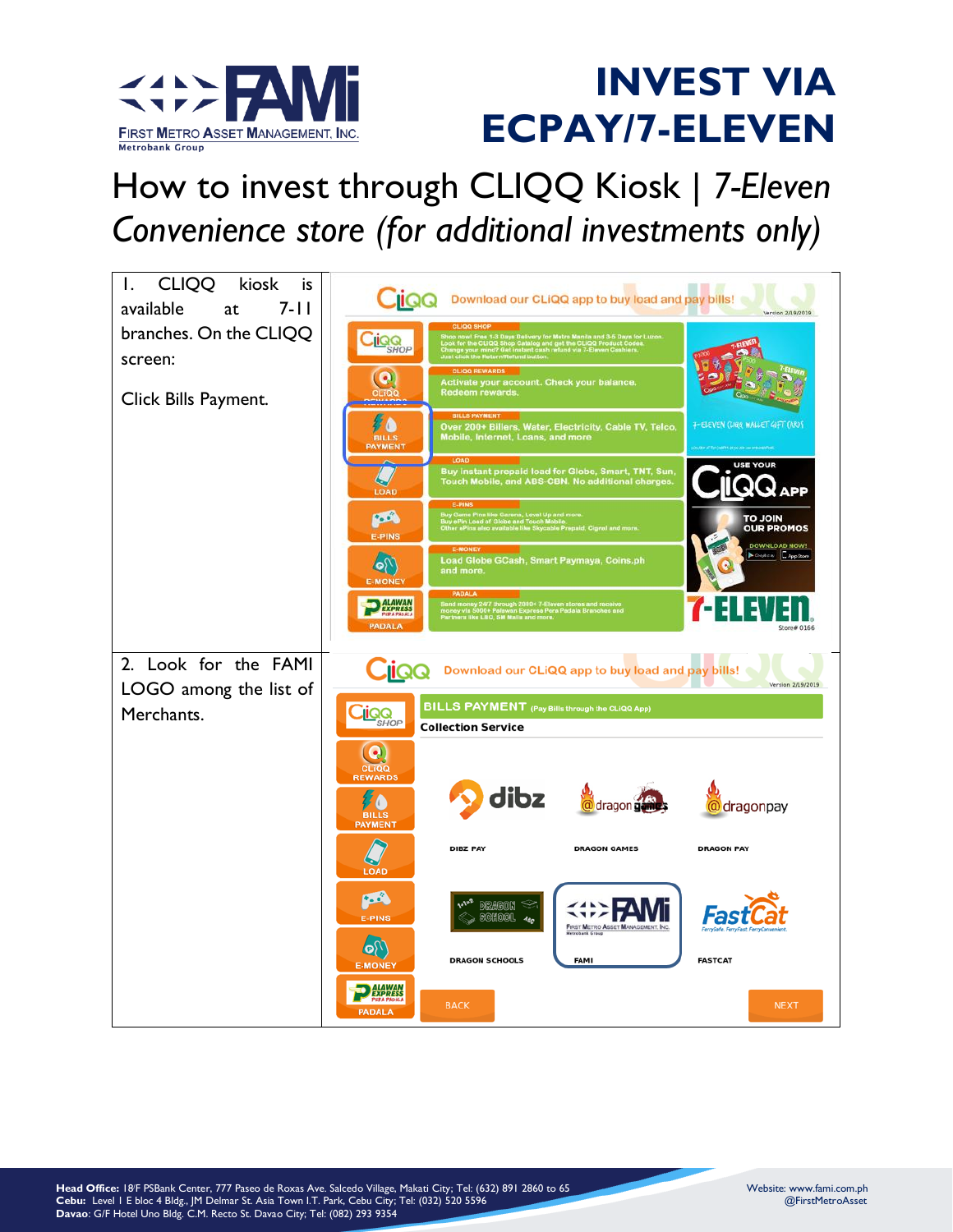

#### How to invest through CLIQQ Kiosk *| 7-Eleven Convenience store (for additional investments only)*

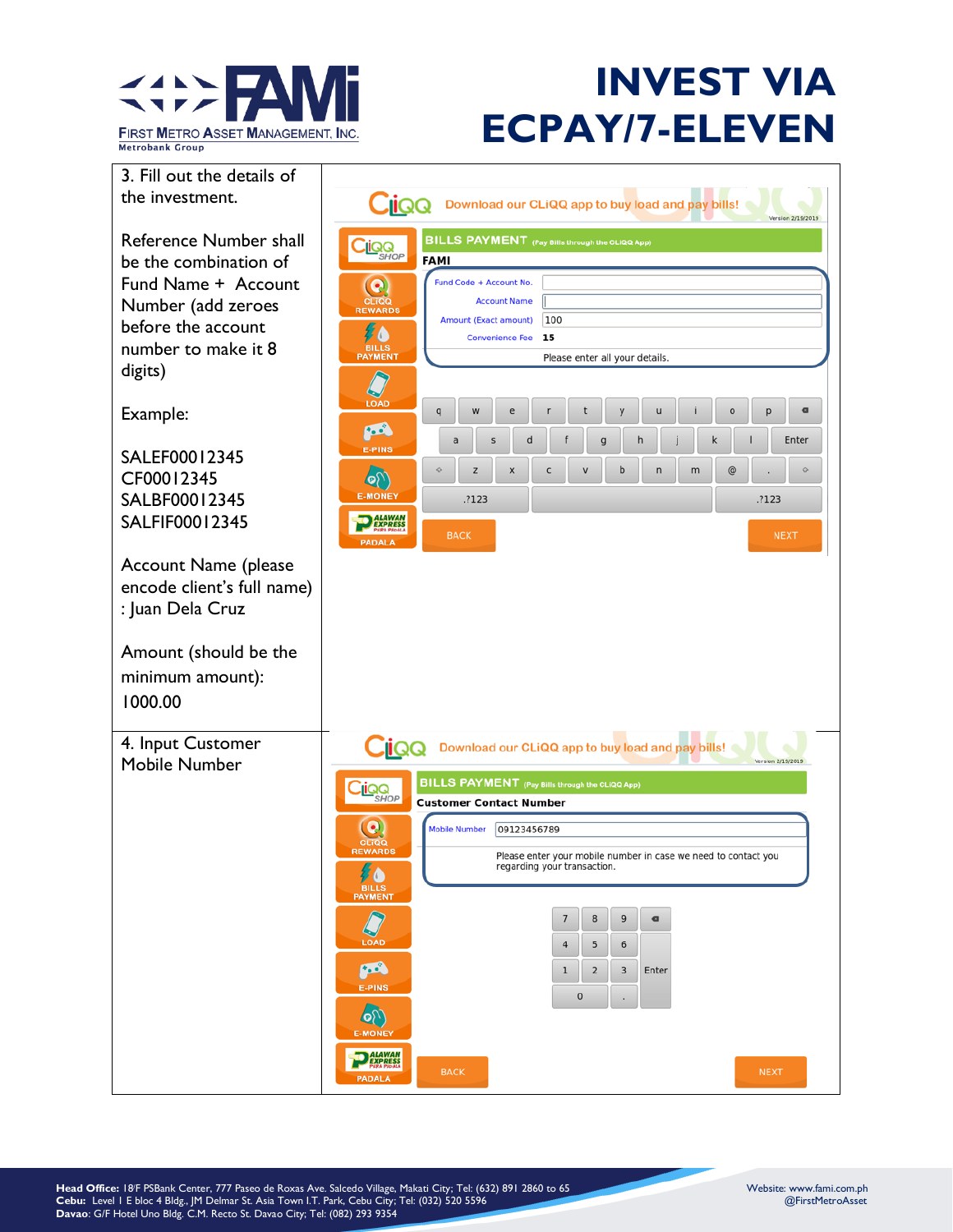

3. Fill out the details of the investment.

Reference Number shall be the combination of Fund Name + Account Number (add zeroes before the account number to make it 8 digits)

Example:

SALEF00012345 CF00012345 SALBF00012345 SALFIF00012345

Account Name (please encode client's full name) : Juan Dela Cruz

Amount (should be the minimum amount): 1000.00

4. Input Customer Mobile Number

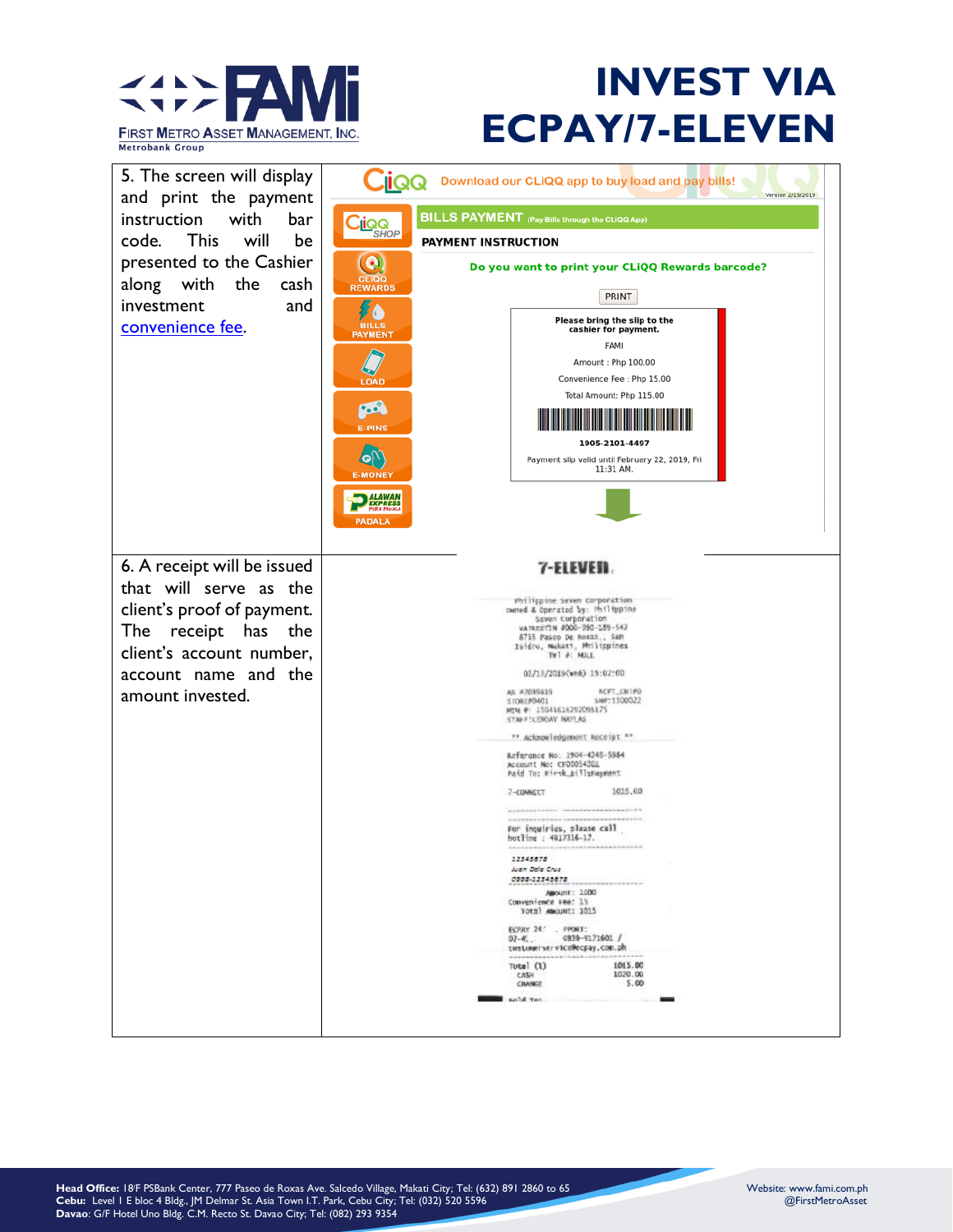

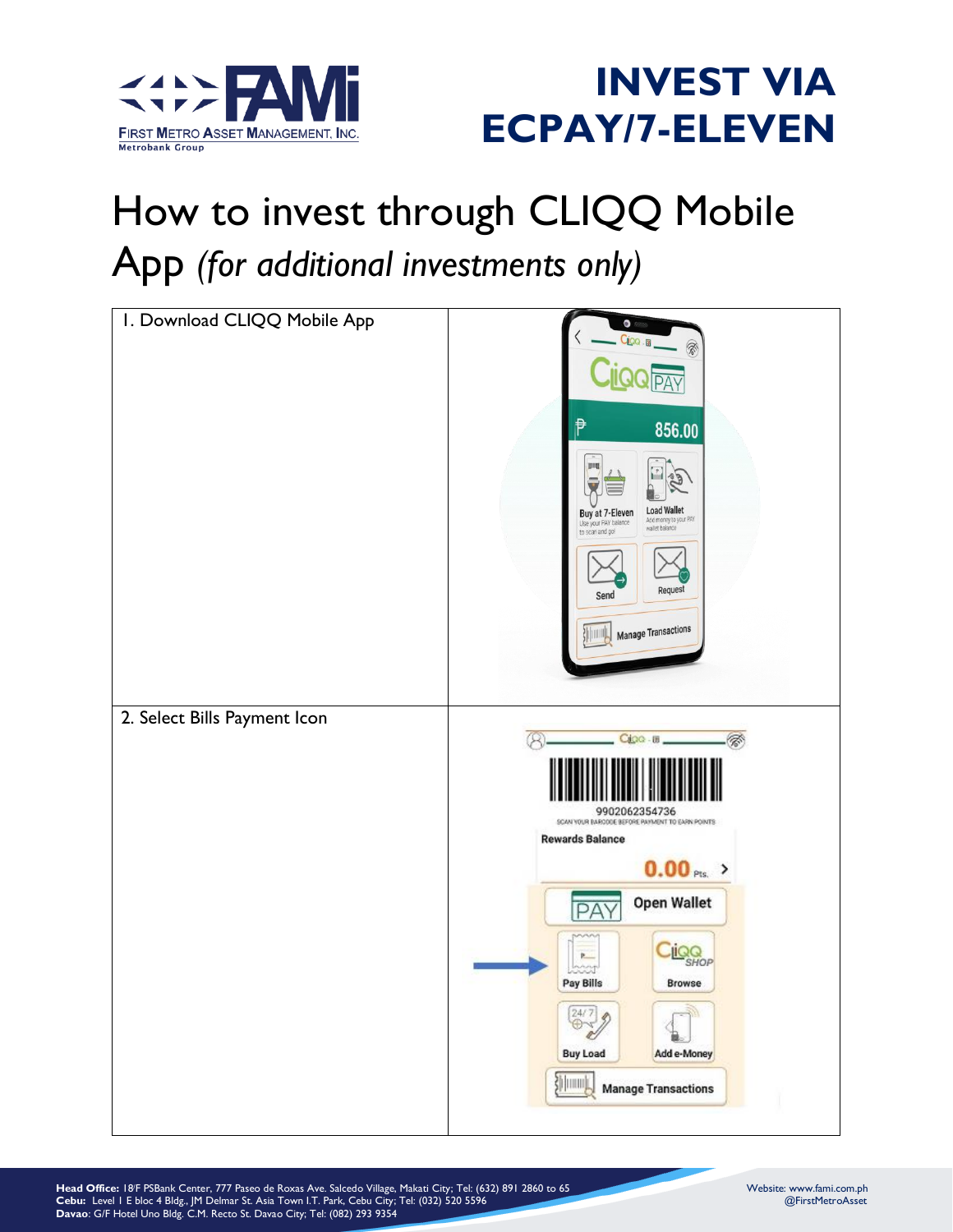

# How to invest through CLIQQ Mobile App *(for additional investments only)*

| I. Download CLIQQ Mobile App | $\bullet$<br>Cioo .<br>₱<br>856.00<br><b>Load Wallet</b><br>Buy at 7-Eleven<br>Add money to your PAY<br>wallet balance<br>to scan and go!<br>Request<br>Send<br><b>Manage Transactions</b>                                                                                              |
|------------------------------|-----------------------------------------------------------------------------------------------------------------------------------------------------------------------------------------------------------------------------------------------------------------------------------------|
| 2. Select Bills Payment Icon | Cipo - III<br>⊗<br>9902062354736<br>SCAN YOUR BARCODE BEFORE PAYMENT TO EARN POINTS<br><b>Rewards Balance</b><br>$0.00$ Pts. ><br><b>Open Wallet</b><br>Δ<br>P<br><b>IQQ</b><br>Þ.<br>Pay Bills<br>Browse<br>24/7<br><b>Buy Load</b><br>Add e-Money<br>迦叫<br><b>Manage Transactions</b> |

**Head Office:** 18/F PSBank Center, 777 Paseo de Roxas Ave. Salcedo Village, Makati City; Tel: (632) 891 2860 to 65 Website: www.fami.com.ph **Cebu:** Level 1 E bloc 4 Bldg., JM Delmar St. Asia Town I.T. Park, Cebu City; Tel: (032) 520 5596 @FirstMetroAsset **Davao**: G/F Hotel Uno Bldg. C.M. Recto St. Davao City; Tel: (082) 293 9354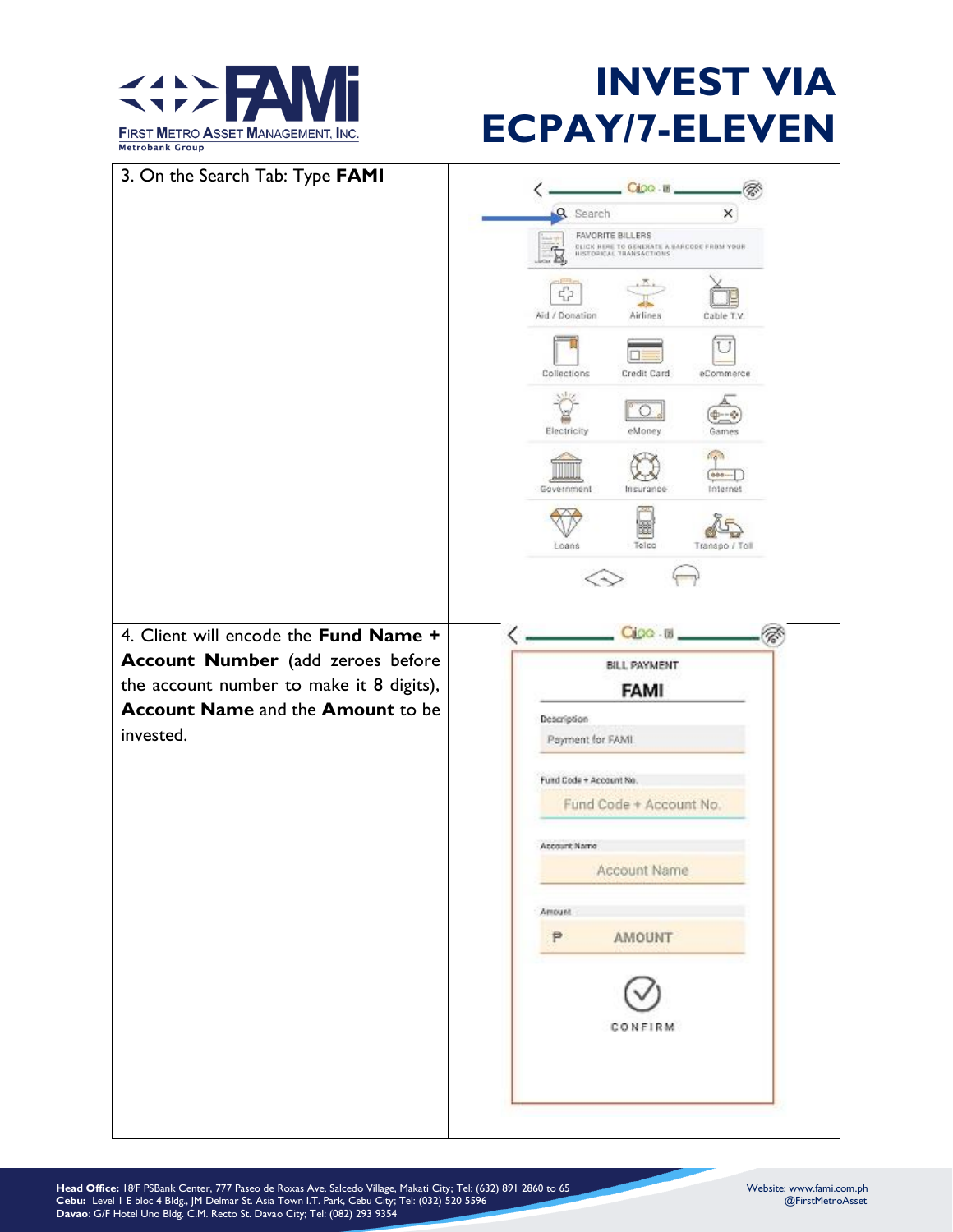

| 3. On the Search Tab: Type FAMI          | Cioo-18                                                            |
|------------------------------------------|--------------------------------------------------------------------|
|                                          | Q Search<br>×                                                      |
|                                          | FAVORITE BILLERS<br>CLICK HORE TO GENERATE A BARCODE FROM YOUR     |
|                                          | HISTORICAL TRANSACTIONS                                            |
|                                          | 42<br>Aid / Donation<br>Airlines<br>Cable T.V.                     |
|                                          | Collections<br>Credit Card<br>eCommerce                            |
|                                          | Electricity<br>eMoney<br>Games                                     |
|                                          | fig <sub>1</sub><br>$000 -$<br>Government<br>Insurance<br>Internet |
|                                          | Telco<br>Loans<br>Transpo / Toll                                   |
|                                          |                                                                    |
| 4. Client will encode the Fund Name +    | $CIOQ - B$                                                         |
| Account Number (add zeroes before        | BILL PAYMENT                                                       |
| the account number to make it 8 digits), | FAMI                                                               |
| <b>Account Name and the Amount to be</b> | Description                                                        |
| invested.                                | Payment for FAMI                                                   |
|                                          | Fund Code + Account No.                                            |
|                                          | Fund Code + Account No.                                            |
|                                          | Account Name                                                       |
|                                          | Account Name                                                       |
|                                          |                                                                    |
|                                          | Amount<br>P<br>AMOUNT                                              |
|                                          |                                                                    |
|                                          |                                                                    |
|                                          | CONFIRM                                                            |
|                                          |                                                                    |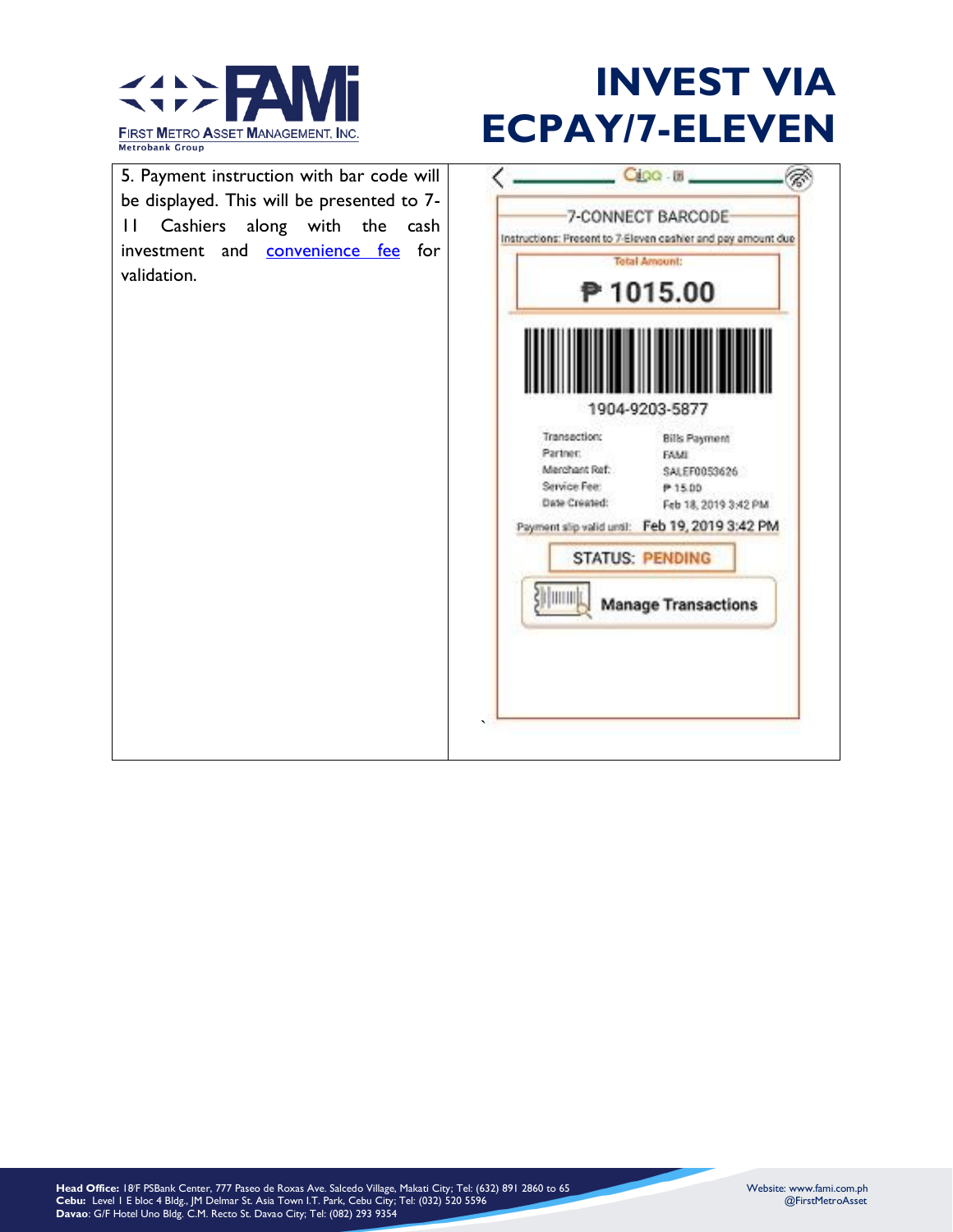

5. Payment instruction with bar code will  $C_{\text{IGG}}$  . If  $\Box$ ८ Ø, be displayed. This will be presented to 7- 7-CONNECT BARCODE 11 Cashiers along with the cash Instructions: Present to 7-Eleven cashier and pay amount due investment and [convenience fee](CONVENIENCE%20FEE.pdf) for **Tetal Amount:** validation. ₱ 1015.00 1904-9203-5877 Transaction: **Bills Payment** Partner: **FAMI** Merchant Ref: SALEF0053626 Service Fee: P 15.00 Date Created: Feb 18, 2019 3:42 PM Payment slip valid until: Feb 19, 2019 3:42 PM **STATUS: PENDING Shimmulu Manage Transactions**  $\mathbb{R}^2$